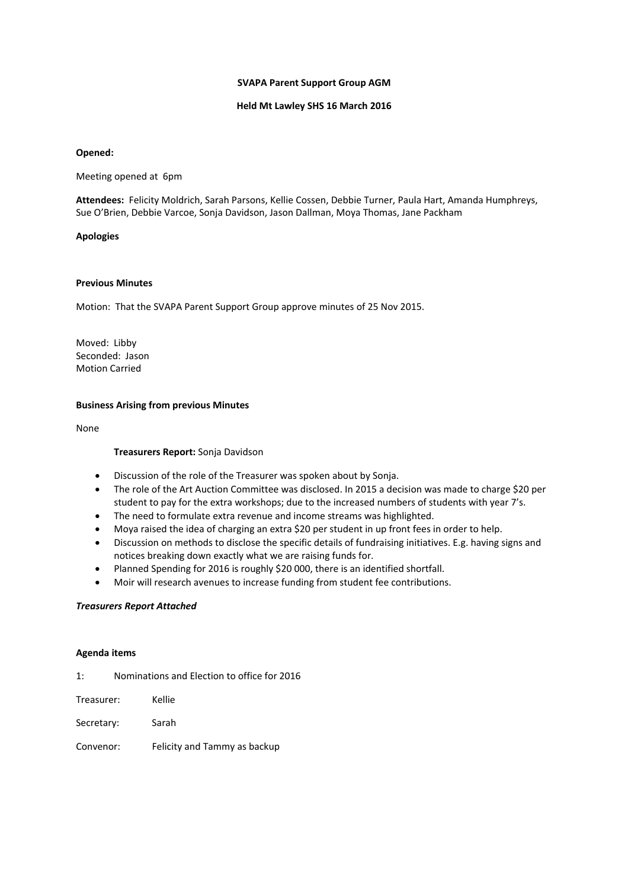## **SVAPA Parent Support Group AGM**

# **Held Mt Lawley SHS 16 March 2016**

## **Opened:**

Meeting opened at 6pm

Attendees: Felicity Moldrich, Sarah Parsons, Kellie Cossen, Debbie Turner, Paula Hart, Amanda Humphreys, Sue O'Brien, Debbie Varcoe, Sonja Davidson, Jason Dallman, Moya Thomas, Jane Packham

## **Apologies**

# **Previous Minutes**

Motion: That the SVAPA Parent Support Group approve minutes of 25 Nov 2015.

Moved: Libby Seconded: Jason Motion Carried

## **Business Arising from previous Minutes**

None

#### **Treasurers Report:** Sonja Davidson

- Discussion of the role of the Treasurer was spoken about by Sonja.
- The role of the Art Auction Committee was disclosed. In 2015 a decision was made to charge \$20 per student to pay for the extra workshops; due to the increased numbers of students with year 7's.
- The need to formulate extra revenue and income streams was highlighted.
- Moya raised the idea of charging an extra \$20 per student in up front fees in order to help.
- Discussion on methods to disclose the specific details of fundraising initiatives. E.g. having signs and notices breaking down exactly what we are raising funds for.
- Planned Spending for 2016 is roughly \$20 000, there is an identified shortfall.
- Moir will research avenues to increase funding from student fee contributions.

#### *Treasurers Report Attached*

#### **Agenda items**

- 1: Nominations and Election to office for 2016
- Treasurer: Kellie
- Secretary: Sarah
- Convenor: Felicity and Tammy as backup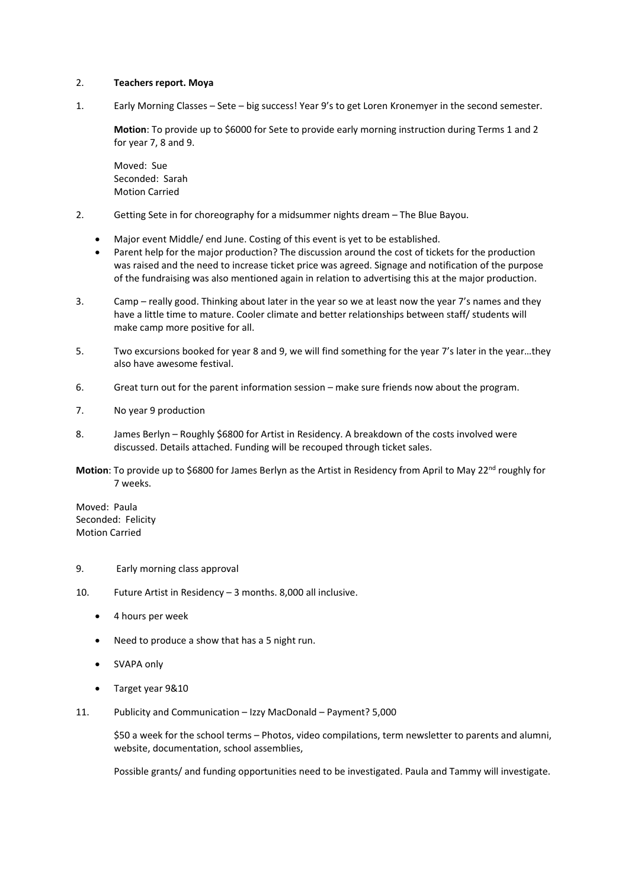# 2. **Teachers report. Moya**

1. Early Morning Classes – Sete – big success! Year 9's to get Loren Kronemyer in the second semester.

**Motion**: To provide up to \$6000 for Sete to provide early morning instruction during Terms 1 and 2 for year 7, 8 and 9.

Moved: Sue Seconded: Sarah Motion Carried

- 2. Getting Sete in for choreography for a midsummer nights dream The Blue Bayou.
	- Major event Middle/ end June. Costing of this event is yet to be established.
	- Parent help for the major production? The discussion around the cost of tickets for the production was raised and the need to increase ticket price was agreed. Signage and notification of the purpose of the fundraising was also mentioned again in relation to advertising this at the major production.
- 3. Camp really good. Thinking about later in the year so we at least now the year 7's names and they have a little time to mature. Cooler climate and better relationships between staff/ students will make camp more positive for all.
- 5. Two excursions booked for year 8 and 9, we will find something for the year 7's later in the year…they also have awesome festival.
- 6. Great turn out for the parent information session make sure friends now about the program.
- 7. No year 9 production
- 8. James Berlyn Roughly \$6800 for Artist in Residency. A breakdown of the costs involved were discussed. Details attached. Funding will be recouped through ticket sales.
- **Motion:** To provide up to \$6800 for James Berlyn as the Artist in Residency from April to May 22<sup>nd</sup> roughly for 7 weeks.

Moved: Paula Seconded: Felicity Motion Carried

#### 9. Early morning class approval

10. Future Artist in Residency – 3 months. 8,000 all inclusive.

- 4 hours per week
- Need to produce a show that has a 5 night run.
- SVAPA only
- Target year 9&10
- 11. Publicity and Communication Izzy MacDonald Payment? 5,000

\$50 a week for the school terms – Photos, video compilations, term newsletter to parents and alumni, website, documentation, school assemblies,

Possible grants/ and funding opportunities need to be investigated. Paula and Tammy will investigate.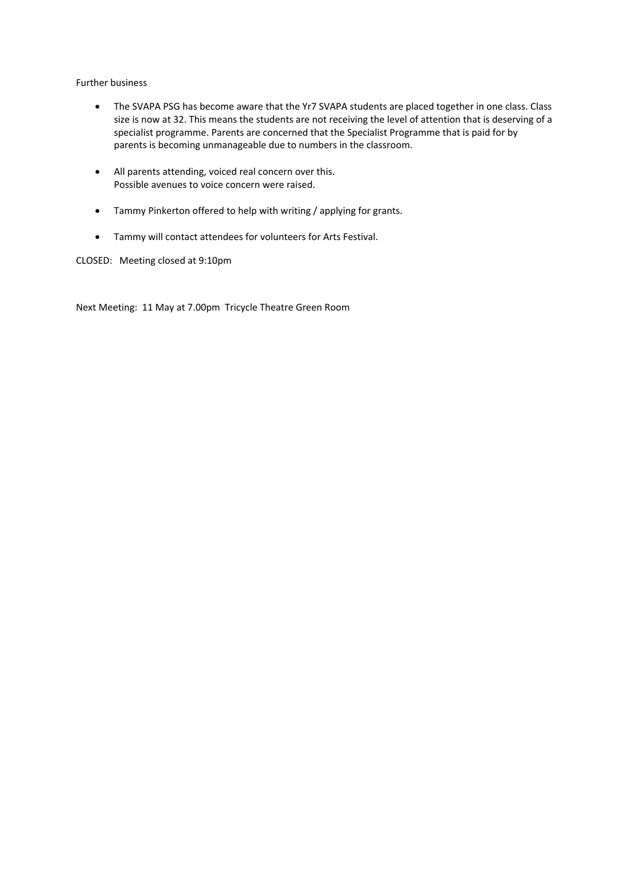Further business

- The SVAPA PSG has become aware that the Yr7 SVAPA students are placed together in one class. Class size is now at 32. This means the students are not receiving the level of attention that is deserving of a specialist programme. Parents are concerned that the Specialist Programme that is paid for by parents is becoming unmanageable due to numbers in the classroom.
- All parents attending, voiced real concern over this. Possible avenues to voice concern were raised.
- Tammy Pinkerton offered to help with writing / applying for grants.
- Tammy will contact attendees for volunteers for Arts Festival.

CLOSED: Meeting closed at 9:10pm

Next Meeting: 11 May at 7.00pm Tricycle Theatre Green Room